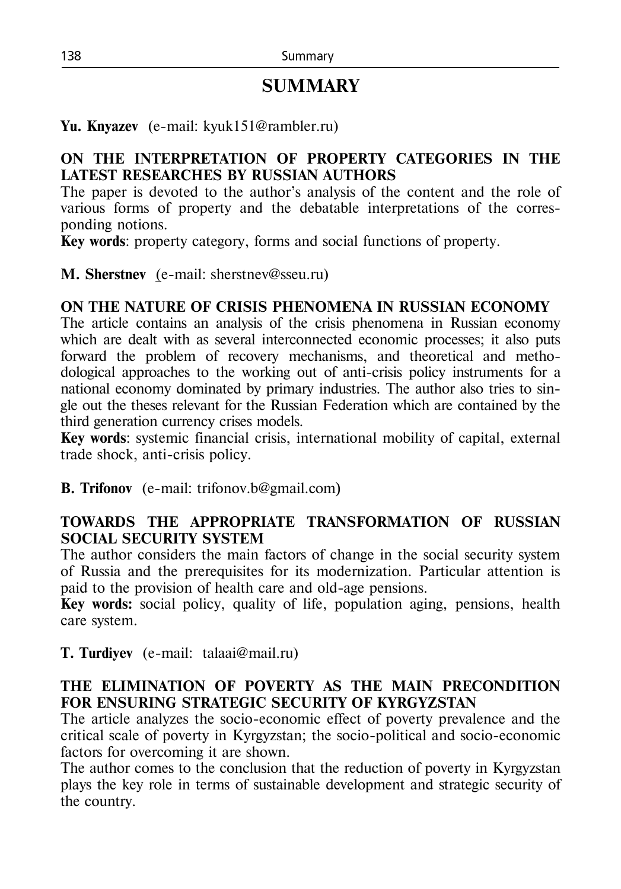# **SUMMARY**

**Yu. Knyazev** (e-mail: kyuk151@rambler.ru)

## **ON THE INTERPRETATION OF PROPERTY CATEGORIES IN THE LATEST RESEARCHES BY RUSSIAN AUTHORS**

The paper is devoted to the author's analysis of the content and the role of various forms of property and the debatable interpretations of the corresponding notions.

**Key words**: property category, forms and social functions of property.

**M. Sherstnev** (e-mail: [sherstnev@sseu.ru\)](mailto:sherstnev@sseu.ru)

#### **ON THE NATURE OF CRISIS PHENOMENA IN RUSSIAN ECONOMY**

The article contains an analysis of the crisis phenomena in Russian economy which are dealt with as several interconnected economic processes; it also puts forward the problem of recovery mechanisms, and theoretical and methodological approaches to the working out of anti-crisis policy instruments for a national economy dominated by primary industries. The author also tries to single out the theses relevant for the Russian Federation which are contained by the third generation currency crises models.

**Key words**: systemic financial crisis, international mobility of capital, external trade shock, anti-crisis policy.

**B. Trifonov** (е-mail: trifonov.b@gmail.com)

## **TOWARDS THE APPROPRIATE TRANSFORMATION OF RUSSIAN SOCIAL SECURITY SYSTEM**

The author considers the main factors of change in the social security system of Russia and the prerequisites for its modernization. Particular attention is paid to the provision of health care and old-age pensions.

**Key words:** social policy, quality of life, population aging, pensions, health care system.

**T. Turdiyev** (e-mail: [talaai@mail.ru\)](mailto:talaai@mail.ru)

#### **THE ELIMINATION OF POVERTY AS THE MAIN PRECONDITION FOR ENSURING STRATEGIC SECURITY OF KYRGYZSTAN**

The article analyzes the socio-economic effect of poverty prevalence and the critical scale of poverty in Kyrgyzstan; the socio-political and socio-economic factors for overcoming it are shown.

The author comes to the conclusion that the reduction of poverty in Kyrgyzstan plays the key role in terms of sustainable development and strategic security of the country.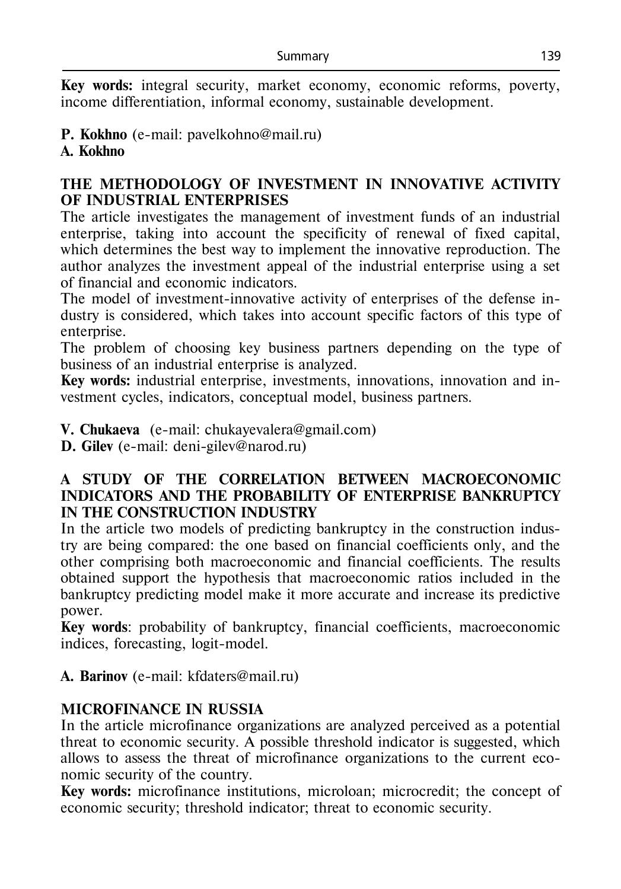**Key words:** integral security, market economy, economic reforms, poverty, income differentiation, informal economy, sustainable development.

# **P. Kokhno** (e-mail: pavelkohno@mail.ru)

#### **A. Kokhno**

#### **THE METHODOLOGY OF INVESTMENT IN INNOVATIVE ACTIVITY OF INDUSTRIAL ENTERPRISES**

The article investigates the management of investment funds of an industrial enterprise, taking into account the specificity of renewal of fixed capital, which determines the best way to implement the innovative reproduction. The author analyzes the investment appeal of the industrial enterprise using a set of financial and economic indicators.

The model of investment-innovative activity of enterprises of the defense industry is considered, which takes into account specific factors of this type of enterprise.

The problem of choosing key business partners depending on the type of business of an industrial enterprise is analyzed.

**Key words:** industrial enterprise, investments, innovations, innovation and investment cycles, indicators, conceptual model, business partners.

**V. Chukaeva** (е-mail: [chukayevalera@gmail.com\)](mailto:chukayevalera@gmail.com)

**D. Gilev** (е-mail: deni-gilev@narod.ru)

#### **A STUDY OF THE CORRELATION BETWEEN MACROECONOMIC INDICATORS AND THE PROBABILITY OF ENTERPRISE BANKRUPTCY IN THE CONSTRUCTION INDUSTRY**

In the article two models of predicting bankruptcy in the construction industry are being compared: the one based on financial coefficients only, and the other comprising both macroeconomic and financial coefficients. The results obtained support the hypothesis that macroeconomic ratios included in the bankruptcy predicting model make it more accurate and increase its predictive power.

**Key words**: probability of bankruptcy, financial coefficients, macroeconomic indices, forecasting, logit-model.

**А. Barinov** (e-mail: kfdaters@mail.ru)

## **MICROFINANCE IN RUSSIA**

In the article microfinance organizations are analyzed perceived as a potential threat to economic security. A possible threshold indicator is suggested, which allows to assess the threat of microfinance organizations to the current economic security of the country.

**Key words:** microfinance institutions, microloan; microcredit; the concept of economic security; threshold indicator; threat to economic security.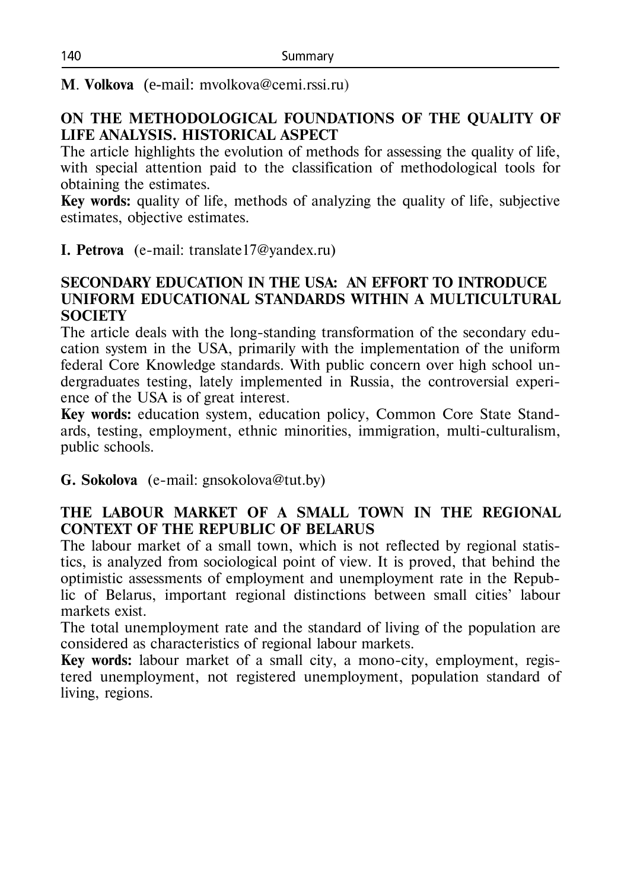**M**. **Volkova** (e-mail: mvolkova@cemi.rssi.ru)

#### **ON THE METHODOLOGICAL FOUNDATIONS OF THE QUALITY OF LIFE ANALYSIS. HISTORICAL ASPECT**

The article highlights the evolution of methods for assessing the quality of life, with special attention paid to the classification of methodological tools for obtaining the estimates.

**Key words:** quality of life, methods of analyzing the quality of life, subjective estimates, objective estimates.

**I. Petrova** (e-mail: translate17@yandex.ru)

#### **SECONDARY EDUCATION IN THE USA: AN EFFORT TO INTRODUCE UNIFORM EDUCATIONAL STANDARDS WITHIN A MULTICULTURAL SOCIETY**

The article deals with the long-standing transformation of the secondary education system in the USA, primarily with the implementation of the uniform federal Core Knowledge standards. With public concern over high school undergraduates testing, lately implemented in Russia, the controversial experience of the USA is of great interest.

**Key words:** education system, education policy, Common Core State Standards, testing, employment, ethnic minorities, immigration, multi-culturalism, public schools.

**G. Sokolova** (e-mail: gnsokolova@tut.by)

## **THE LABOUR MARKET OF A SMALL TOWN IN THE REGIONAL CONTEXT OF THE REPUBLIC OF BELARUS**

The labour market of a small town, which is not reflected by regional statistics, is analyzed from sociological point of view. It is proved, that behind the optimistic assessments of employment and unemployment rate in the Republic of Belarus, important regional distinctions between small cities' labour markets exist.

The total unemployment rate and the standard of living of the population are considered as characteristics of regional labour markets.

**Key words:** labour market of a small city, a mono-city, employment, registered unemployment, not registered unemployment, population standard of living, regions.